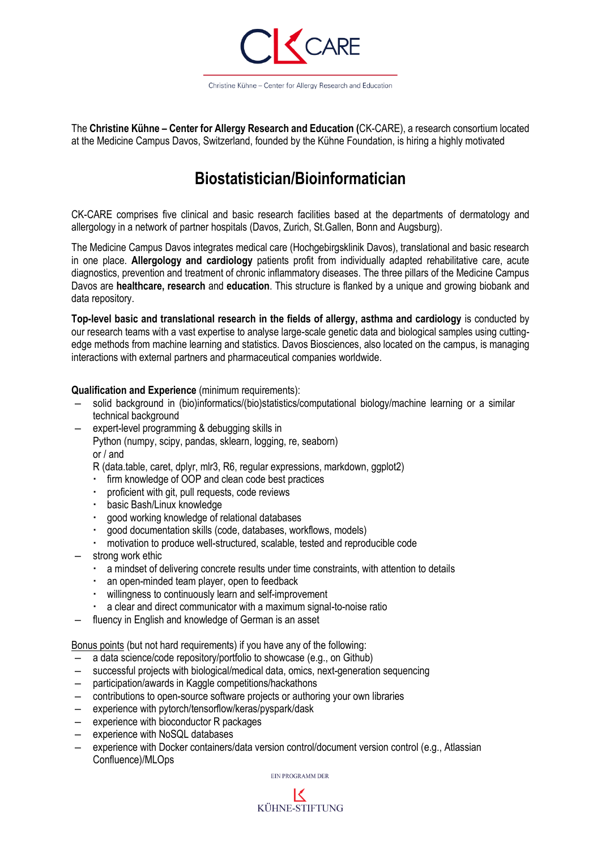

The **Christine Kühne – Center for Allergy Research and Education (**CK-CARE), a research consortium located at the Medicine Campus Davos, Switzerland, founded by the Kühne Foundation, is hiring a highly motivated

# **Biostatistician/Bioinformatician**

CK-CARE comprises five clinical and basic research facilities based at the departments of dermatology and allergology in a network of partner hospitals (Davos, Zurich, St.Gallen, Bonn and Augsburg).

The Medicine Campus Davos integrates medical care (Hochgebirgsklinik Davos), translational and basic research in one place. **Allergology and cardiology** patients profit from individually adapted rehabilitative care, acute diagnostics, prevention and treatment of chronic inflammatory diseases. The three pillars of the Medicine Campus Davos are **healthcare, research** and **education**. This structure is flanked by a unique and growing biobank and data repository.

**Top-level basic and translational research in the fields of allergy, asthma and cardiology** is conducted by our research teams with a vast expertise to analyse large-scale genetic data and biological samples using cuttingedge methods from machine learning and statistics. Davos Biosciences, also located on the campus, is managing interactions with external partners and pharmaceutical companies worldwide.

### **Qualification and Experience** (minimum requirements):

- solid background in (bio)informatics/(bio)statistics/computational biology/machine learning or a similar technical background
- expert-level programming & debugging skills in Python (numpy, scipy, pandas, sklearn, logging, re, seaborn) or / and
	- R (data.table, caret, dplyr, mlr3, R6, regular expressions, markdown, ggplot2)
	- firm knowledge of OOP and clean code best practices
	- proficient with git, pull requests, code reviews
	- basic Bash/Linux knowledge
	- good working knowledge of relational databases
	- good documentation skills (code, databases, workflows, models)
	- motivation to produce well-structured, scalable, tested and reproducible code
- strong work ethic
	- a mindset of delivering concrete results under time constraints, with attention to details
	- an open-minded team player, open to feedback
	- willingness to continuously learn and self-improvement
	- a clear and direct communicator with a maximum signal-to-noise ratio
- fluency in English and knowledge of German is an asset

Bonus points (but not hard requirements) if you have any of the following:

- a data science/code repository/portfolio to showcase (e.g., on Github)
- successful projects with biological/medical data, omics, next-generation sequencing
- participation/awards in Kaggle competitions/hackathons
- contributions to open-source software projects or authoring your own libraries
- experience with pytorch/tensorflow/keras/pyspark/dask
- experience with bioconductor R packages
- experience with NoSQL databases
- experience with Docker containers/data version control/document version control (e.g., Atlassian Confluence)/MLOps

EIN PROGRAMM DER